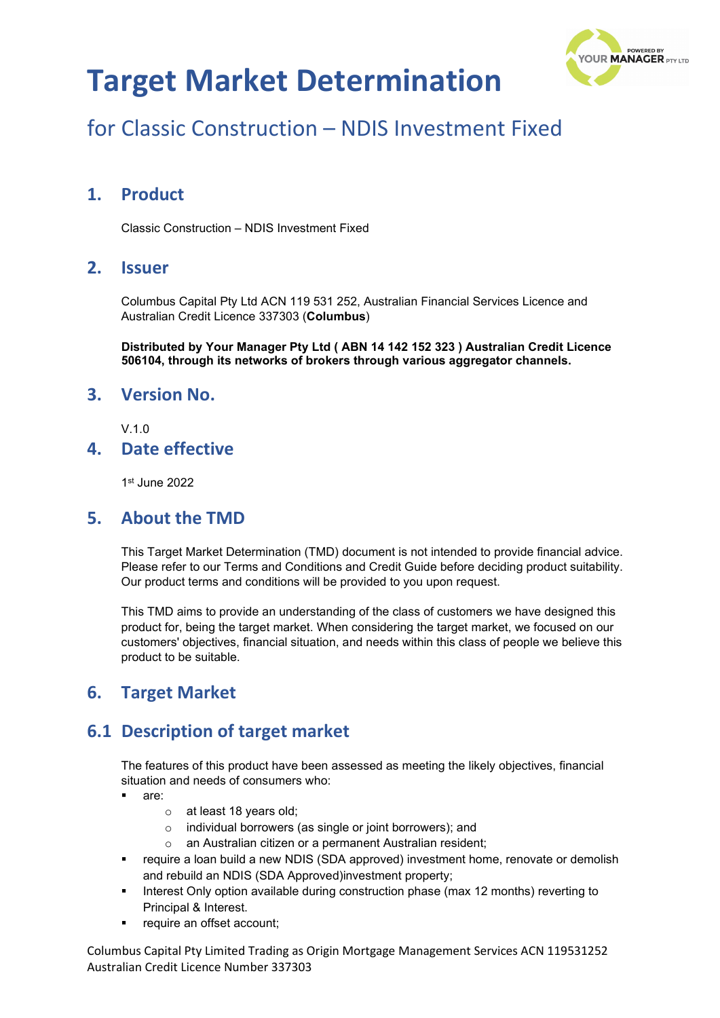# **Target Market Determination**



# for Classic Construction – NDIS Investment Fixed

### **1. Product**

Classic Construction – NDIS Investment Fixed

#### **2. Issuer**

Columbus Capital Pty Ltd ACN 119 531 252, Australian Financial Services Licence and Australian Credit Licence 337303 (**Columbus**)

**Distributed by Your Manager Pty Ltd ( ABN 14 142 152 323 ) Australian Credit Licence 506104, through its networks of brokers through various aggregator channels.**

#### **3. Version No.**

 $V<sub>10</sub>$ 

#### **4. Date effective**

1st June 2022

#### **5. About the TMD**

This Target Market Determination (TMD) document is not intended to provide financial advice. Please refer to our Terms and Conditions and Credit Guide before deciding product suitability. Our product terms and conditions will be provided to you upon request.

This TMD aims to provide an understanding of the class of customers we have designed this product for, being the target market. When considering the target market, we focused on our customers' objectives, financial situation, and needs within this class of people we believe this product to be suitable.

#### **6. Target Market**

### **6.1 Description of target market**

The features of this product have been assessed as meeting the likely objectives, financial situation and needs of consumers who:

- are:
	- o at least 18 years old;
	- o individual borrowers (as single or joint borrowers); and
	- o an Australian citizen or a permanent Australian resident;
- require a loan build a new NDIS (SDA approved) investment home, renovate or demolish and rebuild an NDIS (SDA Approved)investment property;
- Interest Only option available during construction phase (max 12 months) reverting to Principal & Interest.
- require an offset account;

Columbus Capital Pty Limited Trading as Origin Mortgage Management Services ACN 119531252 Australian Credit Licence Number 337303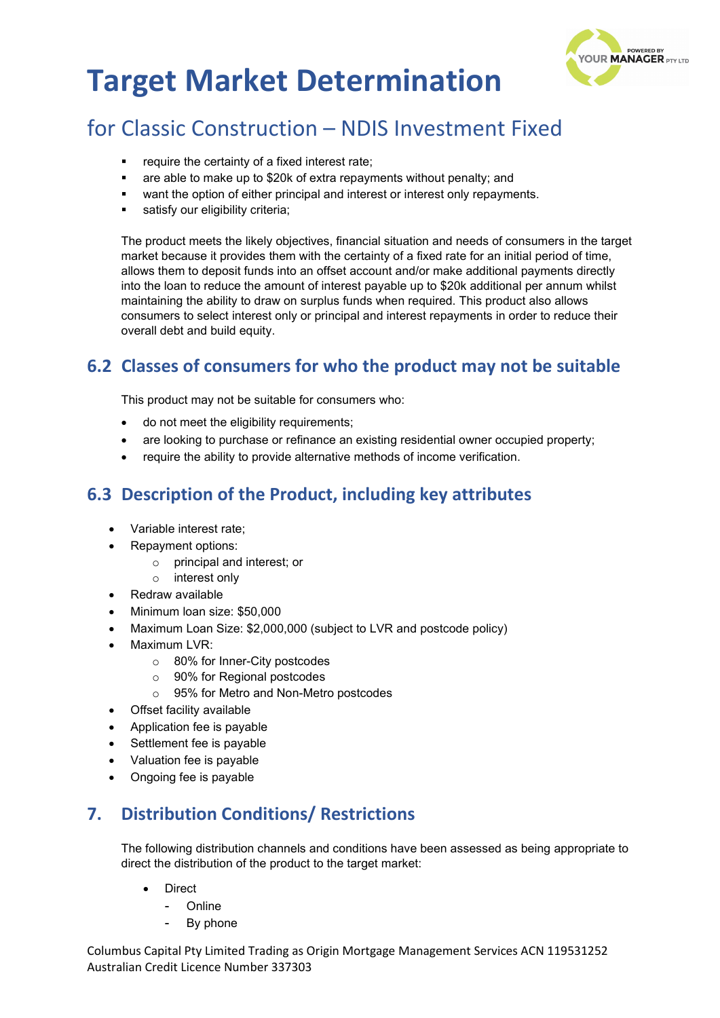



# for Classic Construction – NDIS Investment Fixed

- require the certainty of a fixed interest rate;
- **a** are able to make up to \$20k of extra repayments without penalty; and
- want the option of either principal and interest or interest only repayments.
- satisfy our eligibility criteria;

The product meets the likely objectives, financial situation and needs of consumers in the target market because it provides them with the certainty of a fixed rate for an initial period of time, allows them to deposit funds into an offset account and/or make additional payments directly into the loan to reduce the amount of interest payable up to \$20k additional per annum whilst maintaining the ability to draw on surplus funds when required. This product also allows consumers to select interest only or principal and interest repayments in order to reduce their overall debt and build equity.

### **6.2 Classes of consumers for who the product may not be suitable**

This product may not be suitable for consumers who:

- do not meet the eligibility requirements;
- are looking to purchase or refinance an existing residential owner occupied property;
- require the ability to provide alternative methods of income verification.

## **6.3 Description of the Product, including key attributes**

- Variable interest rate;
- Repayment options:
	- o principal and interest; or
	- o interest only
- Redraw available
- Minimum loan size: \$50,000
- Maximum Loan Size: \$2,000,000 (subject to LVR and postcode policy)
- Maximum LVR:
	- o 80% for Inner-City postcodes
	- o 90% for Regional postcodes
	- o 95% for Metro and Non-Metro postcodes
- Offset facility available
- Application fee is payable
- Settlement fee is payable
- Valuation fee is payable
- Ongoing fee is payable

## **7. Distribution Conditions/ Restrictions**

The following distribution channels and conditions have been assessed as being appropriate to direct the distribution of the product to the target market:

- **Direct** 
	- Online
	- By phone

Columbus Capital Pty Limited Trading as Origin Mortgage Management Services ACN 119531252 Australian Credit Licence Number 337303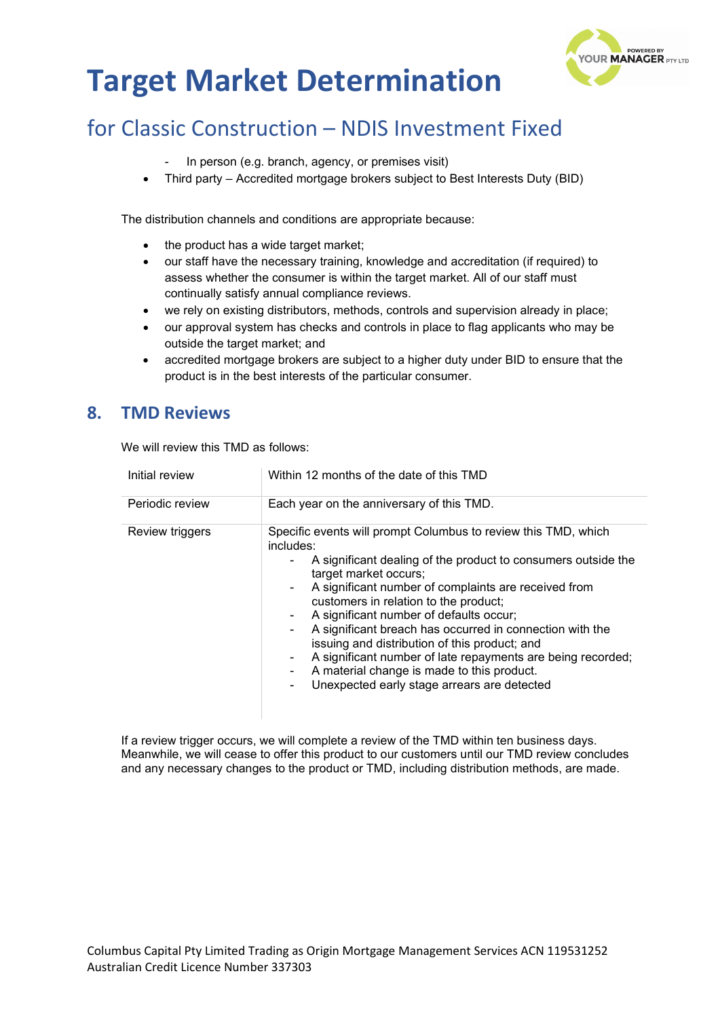# **Target Market Determination**



# for Classic Construction – NDIS Investment Fixed

- In person (e.g. branch, agency, or premises visit)
- Third party Accredited mortgage brokers subject to Best Interests Duty (BID)

The distribution channels and conditions are appropriate because:

- the product has a wide target market;
- our staff have the necessary training, knowledge and accreditation (if required) to assess whether the consumer is within the target market. All of our staff must continually satisfy annual compliance reviews.
- we rely on existing distributors, methods, controls and supervision already in place;
- our approval system has checks and controls in place to flag applicants who may be outside the target market; and
- accredited mortgage brokers are subject to a higher duty under BID to ensure that the product is in the best interests of the particular consumer.

#### **8. TMD Reviews**

We will review this TMD as follows:

| Initial review  | Within 12 months of the date of this TMD                                                                                                                                                                                                                                                                                                                                                                                                                                                                                                                                                                               |
|-----------------|------------------------------------------------------------------------------------------------------------------------------------------------------------------------------------------------------------------------------------------------------------------------------------------------------------------------------------------------------------------------------------------------------------------------------------------------------------------------------------------------------------------------------------------------------------------------------------------------------------------------|
| Periodic review | Each year on the anniversary of this TMD.                                                                                                                                                                                                                                                                                                                                                                                                                                                                                                                                                                              |
| Review triggers | Specific events will prompt Columbus to review this TMD, which<br>includes:<br>A significant dealing of the product to consumers outside the<br>target market occurs;<br>A significant number of complaints are received from<br>$\blacksquare$<br>customers in relation to the product;<br>A significant number of defaults occur;<br>A significant breach has occurred in connection with the<br>issuing and distribution of this product; and<br>A significant number of late repayments are being recorded;<br>A material change is made to this product.<br>۰<br>Unexpected early stage arrears are detected<br>۰ |

If a review trigger occurs, we will complete a review of the TMD within ten business days. Meanwhile, we will cease to offer this product to our customers until our TMD review concludes and any necessary changes to the product or TMD, including distribution methods, are made.